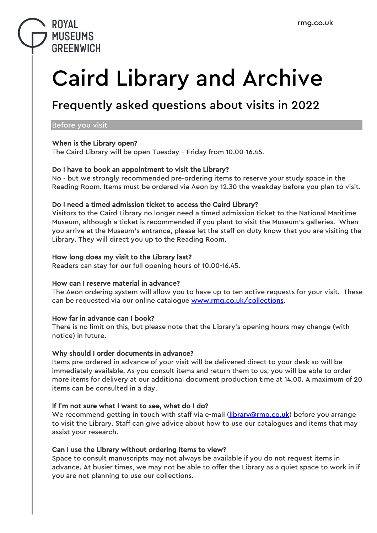# **ROYAL MUSEUMS GREENWICH**

# Caird Library and Archive

# Frequently asked questions about visits in 2022

#### Before you visit

# When is the Library open?

The Caird Library will be open Tuesday – Friday from 10.00-16.45.

# Do I have to book an appointment to visit the Library?

No - but we strongly recommended pre-ordering items to reserve your study space in the Reading Room. Items must be ordered via Aeon by 12.30 the weekday before you plan to visit.

# Do I need a timed admission ticket to access the Caird Library?

Visitors to the Caird Library no longer need a timed admission ticket to the National Maritime Museum, although a ticket is recommended if you plant to visit the Museum's galleries. When you arrive at the Museum's entrance, please let the staff on duty know that you are visiting the Library. They will direct you up to the Reading Room.

# How long does my visit to the Library last?

Readers can stay for our full opening hours of 10.00-16.45.

# How can I reserve material in advance?

The Aeon ordering system will allow you to have up to ten active requests for your visit. These can be requested via our online catalogue [www.rmg.co.uk/collections.](http://www.rmg.co.uk/collections)

# How far in advance can I book?

There is no limit on this, but please note that the Library's opening hours may change (with notice) in future.

# Why should I order documents in advance?

Items pre-ordered in advance of your visit will be delivered direct to your desk so will be immediately available. As you consult items and return them to us, you will be able to order more items for delivery at our additional document production time at 14.00. A maximum of 20 items can be consulted in a day.

# If I**'**m not sure what I want to see, what do I do?

We recommend getting in touch with staff via e-mail [\(library@rmg.co.uk\)](mailto:library@rmg.co.uk) before you arrange to visit the Library. Staff can give advice about how to use our catalogues and items that may assist your research.

# Can I use the Library without ordering items to view?

Space to consult manuscripts may not always be available if you do not request items in advance. At busier times, we may not be able to offer the Library as a quiet space to work in if you are not planning to use our collections.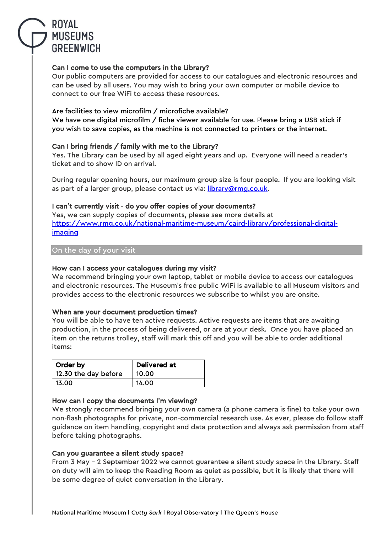

# Can I come to use the computers in the Library?

Our public computers are provided for access to our catalogues and electronic resources and can be used by all users. You may wish to bring your own computer or mobile device to connect to our free WiFi to access these resources.

# Are facilities to view microfilm / microfiche available?

We have one digital microfilm / fiche viewer available for use. Please bring a USB stick if you wish to save copies, as the machine is not connected to printers or the internet.

# Can I bring friends / family with me to the Library?

Yes. The Library can be used by all aged eight years and up. Everyone will need a reader's ticket and to show ID on arrival.

During regular opening hours, our maximum group size is four people. If you are looking visit as part of a larger group, please contact us via: library@rmq.co.uk.

# I can**'**t currently visit - do you offer copies of your documents?

Yes, we can supply copies of documents, please see more details at [https://www.rmg.co.uk/national-maritime-museum/caird-library/professional-digital](https://www.rmg.co.uk/national-maritime-museum/caird-library/professional-digital-imaging)[imaging](https://www.rmg.co.uk/national-maritime-museum/caird-library/professional-digital-imaging)

#### On the day of your visit

# How can I access your catalogues during my visit?

We recommend bringing your own laptop, tablet or mobile device to access our catalogues and electronic resources. The Museum's free public WiFi is available to all Museum visitors and provides access to the electronic resources we subscribe to whilst you are onsite.

# When are your document production times?

You will be able to have ten active requests. Active requests are items that are awaiting production, in the process of being delivered, or are at your desk. Once you have placed an item on the returns trolley, staff will mark this off and you will be able to order additional items:

| Order by             | <b>Delivered at</b> |
|----------------------|---------------------|
| 12.30 the day before | 10.00               |
| 13.00                | 14.00               |

#### How can I copy the documents I**'**m viewing?

We strongly recommend bringing your own camera (a phone camera is fine) to take your own non-flash photographs for private, non-commercial research use. As ever, please do follow staff guidance on item handling, copyright and data protection and always ask permission from staff before taking photographs.

# Can you guarantee a silent study space?

From 3 May – 2 September 2022 we cannot guarantee a silent study space in the Library. Staff on duty will aim to keep the Reading Room as quiet as possible, but it is likely that there will be some degree of quiet conversation in the Library.